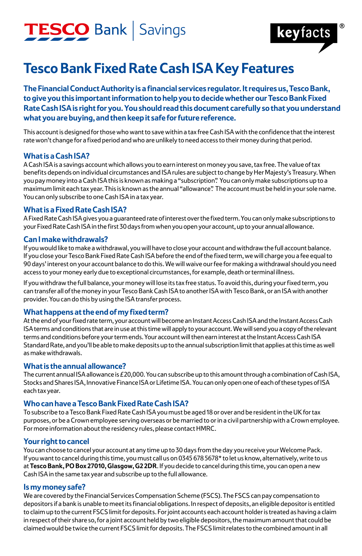### TESCO Bank | Savings



### **Tesco Bank Fixed Rate Cash ISA Key Features**

**The Financial Conduct Authority is a financial services regulator. It requires us, Tesco Bank, to give you this important information to help you to decide whether our Tesco Bank Fixed Rate Cash ISA is right for you. You should read this document carefully so that you understand what you are buying, and then keep it safe for future reference.**

This account is designed for those who want to save within a tax free Cash ISA with the confidence that the interest rate won't change for a fixed period and who are unlikely to need access to their money during that period.

#### **What is a Cash ISA?**

A Cash ISA is a savings account which allows you to earn interest on money you save, tax free. The value of tax benefits depends on individual circumstances and ISA rules are subject to change by Her Majesty's Treasury. When you pay money into a Cash ISA this is known as making a "subscription". You can only make subscriptions up to a maximum limit each tax year. This is known as the annual "allowance". The account must be held in your sole name. You can only subscribe to one Cash ISA in a tax year.

#### **What is a Fixed Rate Cash ISA?**

A Fixed Rate Cash ISA gives you a guaranteed rate of interest over the fixed term. You can only make subscriptions to your Fixed Rate Cash ISA in the first 30 days from when you open your account, up to your annual allowance.

#### **Can I make withdrawals?**

If you would like to make a withdrawal, you will have to close your account and withdraw the full account balance. If you close your Tesco Bank Fixed Rate Cash ISA before the end of the fixed term, we will charge you a fee equal to 90 days' interest on your account balance to do this. We will waive our fee for making a withdrawal should you need access to your money early due to exceptional circumstances, for example, death or terminal illness.

If you withdraw the full balance, your money will lose its tax free status. To avoid this, during your fixed term, you can transfer all of the money in your Tesco Bank Cash ISA to another ISA with Tesco Bank, or an ISA with another provider. You can do this by using the ISA transfer process.

#### **What happens at the end of my fixed term?**

At the end of your fixed rate term, your account will become an Instant Access Cash ISA and the Instant Access Cash ISA terms and conditions that are in use at this time will apply to your account. We will send you a copy of the relevant terms and conditions before your term ends. Your account will then earn interest at the Instant Access Cash ISA Standard Rate, and you'll be able to make deposits up to the annual subscription limit that applies at this time as well as make withdrawals.

#### **What is the annual allowance?**

The current annual ISA allowance is £20,000. You can subscribe up to this amount through a combination of Cash ISA, Stocks and Shares ISA, Innovative Finance ISA or Lifetime ISA. You can only open one of each of these types of ISA each tax year.

#### **Who can have a Tesco Bank Fixed Rate Cash ISA?**

To subscribe to a Tesco Bank Fixed Rate Cash ISA you must be aged 18 or over and be resident in the UK for tax purposes, or be a Crown employee serving overseas or be married to or in a civil partnership with a Crown employee. For more information about the residency rules, please contact HMRC.

#### **Your right to cancel**

You can choose to cancel your account at any time up to 30 days from the day you receive your Welcome Pack. If you want to cancel during this time, you must call us on 0345 678 5678\* to let us know, alternatively, write to us at **Tesco Bank, PO Box 27010, Glasgow, G2 2DR**. If you decide to cancel during this time, you can open a new Cash ISA in the same tax year and subscribe up to the full allowance.

#### **Is my money safe?**

We are covered by the Financial Services Compensation Scheme (FSCS). The FSCS can pay compensation to depositors if a bank is unable to meet its financial obligations. In respect of deposits, an eligible depositor is entitled to claim up to the current FSCS limit for deposits. For joint accounts each account holder is treated as having a claim in respect of their share so, for a joint account held by two eligible depositors, the maximum amount that could be claimed would be twice the current FSCS limit for deposits. The FSCS limit relates to the combined amount in all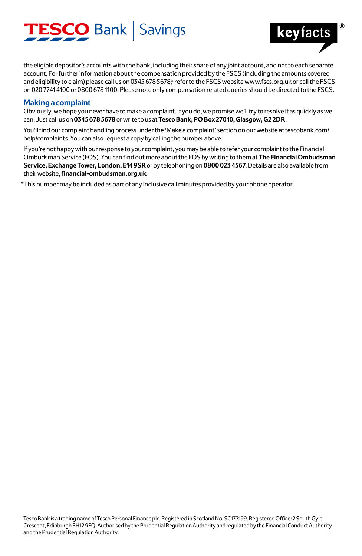# **ESCO** Bank | Savings



the eligible depositor's accounts with the bank, including their share of any joint account, and not to each separate account. For further information about the compensation provided by the FSCS (including the amounts covered and eligibility to claim) please call us on 0345 678 5678\* refer to the FSCS website www.fscs.org.uk or call the FSCS on 020 7741 4100 or 0800 678 1100. Please note only compensation related queries should be directed to the FSCS.

#### **Making a complaint**

Obviously, we hope you never have to make a complaint. If you do, we promise we'll try to resolve it as quickly as we can. Just call us on **0345 678 5678** or write to us at **Tesco Bank, PO Box 27010, Glasgow, G2 2DR**.

You'll find our complaint handling process under the 'Make a complaint' section on our website at tescobank.com/ help/complaints. You can also request a copy by calling the number above.

If you're not happy with our response to your complaint, you may be able to refer your complaint to the Financial Ombudsman Service (FOS). You can find out more about the FOS by writing to them at **The Financial Ombudsman Service, Exchange Tower, London, E14 9SR** or by telephoning on **0800 023 4567**. Details are also available from their website, **financial-ombudsman.org.uk**

\*This number may be included as part of any inclusive call minutes provided by your phone operator.